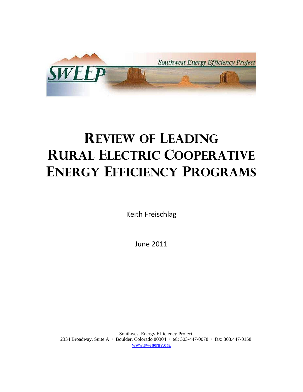

# **Review of Leading Rural Electric cooperative energy efficiency programs**

Keith Freischlag

June 2011

Southwest Energy Efficiency Project 2334 Broadway, Suite A · Boulder, Colorado 80304 · tel: 303-447-0078 · fax: 303.447-0158 [www.swenergy.org](http://www.swenergy.org/)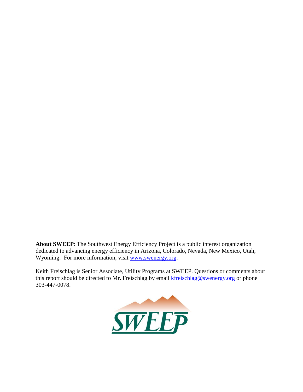**About SWEEP**: The Southwest Energy Efficiency Project is a public interest organization dedicated to advancing energy efficiency in Arizona, Colorado, Nevada, New Mexico, Utah, Wyoming. For more information, visit [www.swenergy.org.](http://www.swenergy.org/)

Keith Freischlag is Senior Associate, Utility Programs at SWEEP. Questions or comments about this report should be directed to Mr. Freischlag by email [kfreischlag@swenergy.org](mailto:kfreischlag@swenergy.org) or phone 303-447-0078.

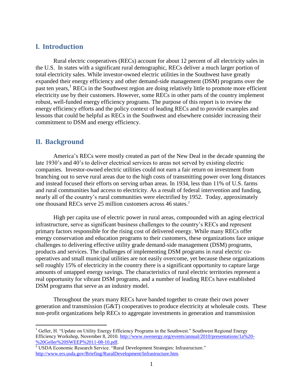# **I. Introduction**

Rural electric cooperatives (RECs) account for about 12 percent of all electricity sales in the U.S. In states with a significant rural demographic, RECs deliver a much larger portion of total electricity sales. While investor-owned electric utilities in the Southwest have greatly expanded their energy efficiency and other demand-side management (DSM) programs over the past ten years,<sup>1</sup> RECs in the Southwest region are doing relatively little to promote more efficient electricity use by their customers. However, some RECs in other parts of the country implement robust, well-funded energy efficiency programs. The purpose of this report is to review the energy efficiency efforts and the policy context of leading RECs and to provide examples and lessons that could be helpful as RECs in the Southwest and elsewhere consider increasing their commitment to DSM and energy efficiency.

# **II. Background**

 $\overline{a}$ 

America's RECs were mostly created as part of the New Deal in the decade spanning the late 1930's and 40's to deliver electrical services to areas not served by existing electric companies. Investor-owned electric utilities could not earn a fair return on investment from branching out to serve rural areas due to the high costs of transmitting power over long distances and instead focused their efforts on serving urban areas. In 1934, less than 11% of U.S. farms and rural communities had access to electricity. As a result of federal intervention and funding, nearly all of the country's rural communities were electrified by 1952. Today, approximately one thousand RECs serve 25 million customers across 46 states.<sup>2</sup>

High per capita use of electric power in rural areas, compounded with an aging electrical infrastructure, serve as significant business challenges to the country's RECs and represent primary factors responsible for the rising cost of delivered energy. While many RECs offer energy conservation and education programs to their customers, these organizations face unique challenges to delivering effective utility grade demand-side management (DSM) programs, products and services. The challenges of implementing DSM programs in rural electric cooperatives and small municipal utilities are not easily overcome, yet because these organizations sell roughly 15% of electricity in the country there is a significant opportunity to capture large amounts of untapped energy savings. The characteristics of rural electric territories represent a real opportunity for vibrant DSM programs, and a number of leading RECs have established DSM programs that serve as an industry model.

Throughout the years many RECs have banded together to create their own power generation and transmission (G&T) cooperatives to produce electricity at wholesale costs. These non-profit organizations help RECs to aggregate investments in generation and transmission

<sup>&</sup>lt;sup>1</sup> Geller, H. "Update on Utility Energy Efficiency Programs in the Southwest." Southwest Regional Energy Efficiency Workshop, November 8, 2010. [http://www.swenergy.org/events/annual/2010/presentations/1a%20-](http://www.swenergy.org/events/annual/2010/presentations/1a%20-%20Geller%20SWEEP%2011-08-10.pdf) [%20Geller%20SWEEP%2011-08-10.pdf.](http://www.swenergy.org/events/annual/2010/presentations/1a%20-%20Geller%20SWEEP%2011-08-10.pdf)

<sup>&</sup>lt;sup>2</sup> USDA Economic Research Service. "Rural Development Strategies: Infrastructure." [http://www.ers.usda.gov/Briefing/RuralDevelopment/Infrastructure.htm.](http://www.ers.usda.gov/Briefing/RuralDevelopment/Infrastructure.htm)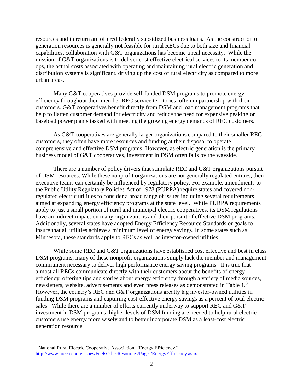resources and in return are offered federally subsidized business loans. As the construction of generation resources is generally not feasible for rural RECs due to both size and financial capabilities, collaboration with G&T organizations has become a real necessity. While the mission of G&T organizations is to deliver cost effective electrical services to its member coops, the actual costs associated with operating and maintaining rural electric generation and distribution systems is significant, driving up the cost of rural electricity as compared to more urban areas.

Many G&T cooperatives provide self-funded DSM programs to promote energy efficiency throughout their member REC service territories, often in partnership with their customers. G&T cooperatives benefit directly from DSM and load management programs that help to flatten customer demand for electricity and reduce the need for expensive peaking or baseload power plants tasked with meeting the growing energy demands of REC customers.

As G&T cooperatives are generally larger organizations compared to their smaller REC customers, they often have more resources and funding at their disposal to operate comprehensive and effective DSM programs. However, as electric generation is the primary business model of G&T cooperatives, investment in DSM often falls by the wayside.

There are a number of policy drivers that stimulate REC and G&T organizations pursuit of DSM resources. While these nonprofit organizations are not generally regulated entities, their executive teams can certainly be influenced by regulatory policy. For example, amendments to the Public Utility Regulatory Policies Act of 1978 (PURPA) require states and covered nonregulated electric utilities to consider a broad range of issues including several requirements aimed at expanding energy efficiency programs at the state level. While PURPA requirements apply to just a small portion of rural and municipal electric cooperatives, its DSM regulations have an indirect impact on many organizations and their pursuit of effective DSM programs. Additionally, several states have adopted Energy Efficiency Resource Standards or goals to insure that all utilities achieve a minimum level of energy savings. In some states such as Minnesota, these standards apply to RECs as well as investor-owned utilities.

While some REC and G&T organizations have established cost effective and best in class DSM programs, many of these nonprofit organizations simply lack the member and management commitment necessary to deliver high performance energy saving programs. It is true that almost all RECs communicate directly with their customers about the benefits of energy efficiency, offering tips and stories about energy efficiency through a variety of media sources, newsletters, website, advertisements and even press releases as demonstrated in Table 1.<sup>3</sup> However, the country's REC and G&T organizations greatly lag investor-owned utilities in funding DSM programs and capturing cost-effective energy savings as a percent of total electric sales. While there are a number of efforts currently underway to support REC and G&T investment in DSM programs, higher levels of DSM funding are needed to help rural electric customers use energy more wisely and to better incorporate DSM as a least-cost electric generation resource.

<sup>&</sup>lt;sup>3</sup> National Rural Electric Cooperative Association. "Energy Efficiency." [http://www.nreca.coop/issues/FuelsOtherResources/Pages/EnergyEfficiency.aspx.](http://www.nreca.coop/issues/FuelsOtherResources/Pages/EnergyEfficiency.aspx)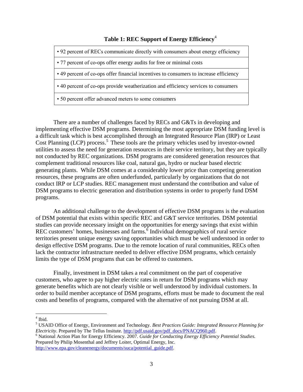# **Table 1: REC Support of Energy Efficiency**<sup>4</sup>

- 92 percent of RECs communicate directly with consumers about energy efficiency
- 77 percent of co-ops offer energy audits for free or minimal costs

• 49 percent of co-ops offer financial incentives to consumers to increase efficiency

• 40 percent of co-ops provide weatherization and efficiency services to consumers

• 50 percent offer advanced meters to some consumers

There are a number of challenges faced by RECs and G&Ts in developing and implementing effective DSM programs. Determining the most appropriate DSM funding level is a difficult task which is best accomplished through an Integrated Resource Plan (IRP) or Least Cost Planning (LCP) process. 5 These tools are the primary vehicles used by investor-owned utilities to assess the need for generation resources in their service territory, but they are typically not conducted by REC organizations. DSM programs are considered generation resources that complement traditional resources like coal, natural gas, hydro or nuclear based electric generating plants. While DSM comes at a considerably lower price than competing generation resources, these programs are often underfunded, particularly by organizations that do not conduct IRP or LCP studies. REC management must understand the contribution and value of DSM programs to electric generation and distribution systems in order to properly fund DSM programs.

An additional challenge to the development of effective DSM programs is the evaluation of DSM potential that exists within specific REC and G&T service territories. DSM potential studies can provide necessary insight on the opportunities for energy savings that exist within REC customers' homes, businesses and farms.<sup>6</sup> Individual demographics of rural service territories present unique energy saving opportunities which must be well understood in order to design effective DSM programs. Due to the remote location of rural communities, RECs often lack the contractor infrastructure needed to deliver effective DSM programs, which certainly limits the type of DSM programs that can be offered to customers.

Finally, investment in DSM takes a real commitment on the part of cooperative customers, who agree to pay higher electric rates in return for DSM programs which may generate benefits which are not clearly visible or well understood by individual customers. In order to build member acceptance of DSM programs, efforts must be made to document the real costs and benefits of programs, compared with the alternative of not pursuing DSM at all.

 $4$  Ibid.

<sup>6</sup> National Action Plan for Energy Efficiency. 2007. *Guide for Conducting Energy Efficiency Potential Studies.* Prepared by Philip Mosenthal and Jeffrey Loiter, Optimal Energy, Inc. [http://www.epa.gov/cleanenergy/documents/suca/potential\\_guide.pdf.](http://www.epa.gov/cleanenergy/documents/suca/potential_guide.pdf)

<sup>5</sup> USAID Office of Energy, Environment and Technology. *Best Practices Guide: Integrated Resource Planning for Electricity*. Prepared by The Tellus Insitute. [http://pdf.usaid.gov/pdf\\_docs/PNACQ960.pdf.](http://pdf.usaid.gov/pdf_docs/PNACQ960.pdf)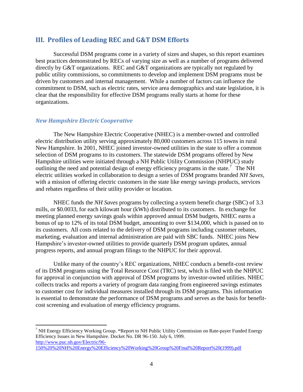# **III. Profiles of Leading REC and G&T DSM Efforts**

Successful DSM programs come in a variety of sizes and shapes, so this report examines best practices demonstrated by RECs of varying size as well as a number of programs delivered directly by G&T organizations. REC and G&T organizations are typically not regulated by public utility commissions, so commitments to develop and implement DSM programs must be driven by customers and internal management. While a number of factors can influence the commitment to DSM, such as electric rates, service area demographics and state legislation, it is clear that the responsibility for effective DSM programs really starts at home for these organizations.

#### *New Hampshire Electric Cooperative*

 $\overline{a}$ 

The New Hampshire Electric Cooperative (NHEC) is a member-owned and controlled electric distribution utility serving approximately 80,000 customers across 115 towns in rural New Hampshire. In 2001, NHEC joined investor-owned utilities in the state to offer a common selection of DSM programs to its customers. The statewide DSM programs offered by New Hampshire utilities were initiated through a NH Public Utility Commission (NHPUC) study outlining the need and potential design of energy efficiency programs in the state.<sup>7</sup> The NH electric utilities worked in collaboration to design a series of DSM programs branded *NH Saves*, with a mission of offering electric customers in the state like energy savings products, services and rebates regardless of their utility provider or location.

NHEC funds the *NH Saves* programs by collecting a system benefit charge (SBC) of 3.3 mills, or \$0.0033, for each kilowatt hour (kWh) distributed to its customers. In exchange for meeting planned energy savings goals within approved annual DSM budgets, NHEC earns a bonus of up to 12% of its total DSM budget, amounting to over \$134,000, which is passed on to its customers. All costs related to the delivery of DSM programs including customer rebates, marketing, evaluation and internal administration are paid with SBC funds. NHEC joins New Hampshire's investor-owned utilities to provide quarterly DSM program updates, annual progress reports, and annual program filings to the NHPUC for their approval.

Unlike many of the country's REC organizations, NHEC conducts a benefit-cost review of its DSM programs using the Total Resource Cost (TRC) test, which is filed with the NHPUC for approval in conjunction with approval of DSM programs by investor-owned utilities. NHEC collects tracks and reports a variety of program data ranging from engineered savings estimates to customer cost for individual measures installed through its DSM programs. This information is essential to demonstrate the performance of DSM programs and serves as the basis for benefitcost screening and evaluation of energy efficiency programs.

<sup>7</sup> NH Energy Efficiency Working Group. **"**Report to NH Public Utility Commission on Rate-payer Funded Energy Efficiency Issues in New Hampshire. Docket No. DR 96-150. July 6, 1999. [http://www.puc.nh.gov/Electric/96-](http://www.puc.nh.gov/Electric/96-150%20%20NH%20Energy%20Efficiency%20Working%20Group%20Final%20Report%20(1999).pdf) [150%20%20NH%20Energy%20Efficiency%20Working%20Group%20Final%20Report%20\(1999\).pdf](http://www.puc.nh.gov/Electric/96-150%20%20NH%20Energy%20Efficiency%20Working%20Group%20Final%20Report%20(1999).pdf)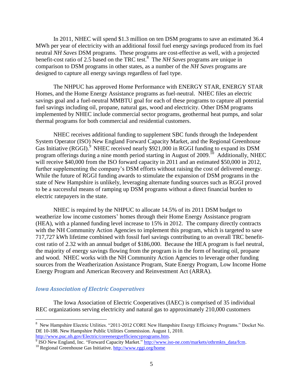In 2011, NHEC will spend \$1.3 million on ten DSM programs to save an estimated 36.4 MWh per year of electricity with an additional fossil fuel energy savings produced from its fuel neutral *NH Saves* DSM programs. These programs are cost-effective as well, with a projected benefit-cost ratio of 2.5 based on the TRC test.<sup>8</sup> The *NH Saves* programs are unique in comparison to DSM programs in other states, as a number of the *NH Saves* programs are designed to capture all energy savings regardless of fuel type.

The NHPUC has approved Home Performance with ENERGY STAR, ENERGY STAR Homes, and the Home Energy Assistance programs as fuel-neutral. NHEC files an electric savings goal and a fuel-neutral MMBTU goal for each of these programs to capture all potential fuel savings including oil, propane, natural gas, wood and electricity. Other DSM programs implemented by NHEC include commercial sector programs, geothermal heat pumps, and solar thermal programs for both commercial and residential customers.

NHEC receives additional funding to supplement SBC funds through the Independent System Operator (ISO) New England Forward Capacity Market, and the Regional Greenhouse Gas Initiative (RGGI).<sup>9</sup> NHEC received nearly \$921,000 in RGGI funding to expand its DSM program offerings during a nine month period starting in August of 2009.<sup>10</sup> Additionally, NHEC will receive \$40,000 from the ISO forward capacity in 2011 and an estimated \$50,000 in 2012, further supplementing the company's DSM efforts without raising the cost of delivered energy. While the future of RGGI funding awards to stimulate the expansion of DSM programs in the state of New Hampshire is unlikely, leveraging alternate funding sources such as RGGI proved to be a successful means of ramping up DSM programs without a direct financial burden to electric ratepayers in the state.

NHEC is required by the NHPUC to allocate 14.5% of its 2011 DSM budget to weatherize low income customers' homes through their Home Energy Assistance program (HEA), with a planned funding level increase to 15% in 2012. The company directly contracts with the NH Community Action Agencies to implement this program, which is targeted to save 717,727 kWh lifetime combined with fossil fuel savings contributing to an overall TRC benefitcost ratio of 2.32 with an annual budget of \$186,000. Because the HEA program is fuel neutral, the majority of energy savings flowing from the program is in the form of heating oil, propane and wood. NHEC works with the NH Community Action Agencies to leverage other funding sources from the Weatherization Assistance Program, State Energy Program, Low Income Home Energy Program and American Recovery and Reinvestment Act (ARRA).

#### *Iowa Association of Electric Cooperatives*

 $\overline{a}$ 

The Iowa Association of Electric Cooperatives (IAEC) is comprised of 35 individual REC organizations serving electricity and natural gas to approximately 210,000 customers

<sup>8</sup> New Hampshire Electric Utilities. "2011-2012 CORE New Hampshire Energy Efficiency Programs." Docket No. DE 10-188. New Hampshire Public Utilities Commission. August 1, 2010. [http://www.puc.nh.gov/Electric/coreenergyefficiencyprograms.htm.](http://www.puc.nh.gov/Electric/coreenergyefficiencyprograms.htm)

<sup>&</sup>lt;sup>9</sup> ISO New England, Inc. "Forward Capacity Market." [http://www.iso-ne.com/markets/othrmkts\\_data/fcm.](http://www.iso-ne.com/markets/othrmkts_data/fcm)

<sup>&</sup>lt;sup>10</sup> Regional Greenhouse Gas Initiative.<http://www.rggi.org/home>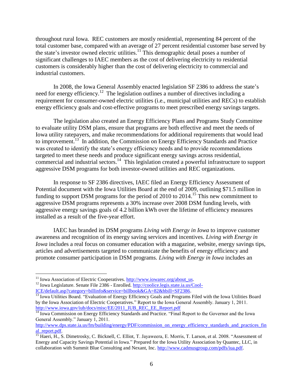throughout rural Iowa. REC customers are mostly residential, representing 84 percent of the total customer base, compared with an average of 27 percent residential customer base served by the state's investor owned electric utilities.<sup>11</sup> This demographic detail poses a number of significant challenges to IAEC members as the cost of delivering electricity to residential customers is considerably higher than the cost of delivering electricity to commercial and industrial customers.

In 2008, the Iowa General Assembly enacted legislation SF 2386 to address the state's need for energy efficiency.<sup>12</sup> The legislation outlines a number of directives including a requirement for consumer-owned electric utilities (i.e., municipal utilities and RECs) to establish energy efficiency goals and cost-effective programs to meet prescribed energy savings targets.

The legislation also created an Energy Efficiency Plans and Programs Study Committee to evaluate utility DSM plans, ensure that programs are both effective and meet the needs of Iowa utility ratepayers, and make recommendations for additional requirements that would lead to improvement.<sup>13</sup> In addition, the Commission on Energy Efficiency Standards and Practice was created to identify the state's energy efficiency needs and to provide recommendations targeted to meet these needs and produce significant energy savings across residential, commercial and industrial sectors.<sup>14</sup> This legislation created a powerful infrastructure to support aggressive DSM programs for both investor-owned utilities and REC organizations.

In response to SF 2386 directives, IAEC filed an Energy Efficiency Assessment of Potential document with the Iowa Utilities Board at the end of 2009, outlining \$71.5 million in funding to support DSM programs for the period of 2010 to 2014.<sup>15</sup> This new commitment to aggressive DSM programs represents a 30% increase over 2008 DSM funding levels, with aggressive energy savings goals of 4.2 billion kWh over the lifetime of efficiency measures installed as a result of the five-year effort.

IAEC has branded its DSM programs *Living with Energy in Iowa* to improve customer awareness and recognition of its energy saving services and incentives. *Living with Energy in Iowa* includes a real focus on consumer education with a magazine, website, energy savings tips, articles and advertisements targeted to communicate the benefits of energy efficiency and promote consumer participation in DSM programs. *Living with Energy in Iowa* includes an

<sup>&</sup>lt;sup>11</sup> Iowa Association of Electric Cooperatives. [http://www.iowarec.org/about\\_us.](http://www.iowarec.org/about_us)

<sup>&</sup>lt;sup>12</sup> Iowa Legislature. Senate File 2386 - Enrolled[. http://coolice.legis.state.ia.us/Cool-](http://coolice.legis.state.ia.us/Cool-ICE/default.asp?category=billinfo&service=billbook&GA=82&hbill=SF2386)[ICE/default.asp?category=billinfo&service=billbook&GA=82&hbill=SF2386.](http://coolice.legis.state.ia.us/Cool-ICE/default.asp?category=billinfo&service=billbook&GA=82&hbill=SF2386)

<sup>&</sup>lt;sup>13</sup> Iowa Utilities Board. "Evaluation of Energy Efficiency Goals and Programs Filed with the Iowa Utilities Board by the Iowa Association of Electric Cooperatives." Report to the Iowa General Assembly. January 1, 2011. [http://www.iowa.gov/iub/docs/misc/EE/2011\\_IUB\\_REC\\_EE\\_Report.pdf](http://www.iowa.gov/iub/docs/misc/EE/2011_IUB_REC_EE_Report.pdf)

<sup>&</sup>lt;sup>14</sup> Iowa Commission on Energy Efficiency Standards and Practice. "Final Report to the Governor and the Iowa General Assembly." January 1, 2011.

[http://www.dps.state.ia.us/fm/building/energy/PDF/commission\\_on\\_energy\\_efficiency\\_standards\\_and\\_practices\\_fin](http://www.dps.state.ia.us/fm/building/energy/PDF/commission_on_energy_efficiency_standards_and_practices_final_report.pdf) al report.pdf.

<sup>&</sup>lt;sup>15</sup> Haeri, H., S. Dimetrosky, C. Bicknell, C. Elliot, T. Jayaweera, E. Morris, T. Larson, et al. 2008. "Assessment of Energy and Capacity Savings Potential in Iowa." Prepared for the Iowa Utility Association by Quantec, LLC, in collaboration with Summit Blue Consulting and Nexant, Inc. [http://www.cadmusgroup.com/pdfs/iua.pdf.](http://www.cadmusgroup.com/pdfs/iua.pdf)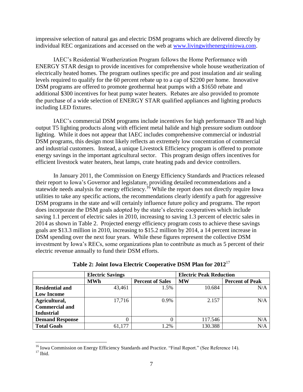impressive selection of natural gas and electric DSM programs which are delivered directly by individual REC organizations and accessed on the web at [www.livingwithenergyiniowa.com.](http://www.livingwithenergyiniowa.com/)

IAEC's Residential Weatherization Program follows the Home Performance with ENERGY STAR design to provide incentives for comprehensive whole house weatherization of electrically heated homes. The program outlines specific pre and post insulation and air sealing levels required to qualify for the 60 percent rebate up to a cap of \$2200 per home. Innovative DSM programs are offered to promote geothermal heat pumps with a \$1650 rebate and additional \$300 incentives for heat pump water heaters. Rebates are also provided to promote the purchase of a wide selection of ENERGY STAR qualified appliances and lighting products including LED fixtures.

IAEC's commercial DSM programs include incentives for high performance T8 and high output T5 lighting products along with efficient metal halide and high pressure sodium outdoor lighting. While it does not appear that IAEC includes comprehensive commercial or industrial DSM programs, this design most likely reflects an extremely low concentration of commercial and industrial customers. Instead, a unique Livestock Efficiency program is offered to promote energy savings in the important agricultural sector. This program design offers incentives for efficient livestock water heaters, heat lamps, crate heating pads and device controllers.

In January 2011, the Commission on Energy Efficiency Standards and Practices released their report to Iowa's Governor and legislature, providing detailed recommendations and a statewide needs analysis for energy efficiency.<sup>16</sup> While the report does not directly require Iowa utilities to take any specific actions, the recommendations clearly identify a path for aggressive DSM programs in the state and will certainly influence future policy and programs. The report does incorporate the DSM goals adopted by the state's electric cooperatives which include saving 1.1 percent of electric sales in 2010, increasing to saving 1.3 percent of electric sales in 2014 as shown in Table 2. Projected energy efficiency program costs to achieve these savings goals are \$13.3 million in 2010, increasing to \$15.2 million by 2014, a 14 percent increase in DSM spending over the next four years. While these figures represent the collective DSM investment by Iowa's RECs, some organizations plan to contribute as much as 5 percent of their electric revenue annually to fund their DSM efforts.

|                        | <b>Electric Savings</b> |                         | <b>Electric Peak Reduction</b> |                        |  |
|------------------------|-------------------------|-------------------------|--------------------------------|------------------------|--|
|                        | <b>MWh</b>              | <b>Percent of Sales</b> | <b>MW</b>                      | <b>Percent of Peak</b> |  |
| Residential and        | 43,461                  | 1.5%                    | 10.684                         | N/A                    |  |
| <b>Low Income</b>      |                         |                         |                                |                        |  |
| Agricultural,          | 17,716                  | 0.9%                    | 2.157                          | N/A                    |  |
| <b>Commercial and</b>  |                         |                         |                                |                        |  |
| <b>Industrial</b>      |                         |                         |                                |                        |  |
| <b>Demand Response</b> |                         |                         | 117.546                        | N/A                    |  |
| <b>Total Goals</b>     | 61,177                  | 1.2%                    | 130.388                        | N/A                    |  |

**Table 2: Joint Iowa Electric Cooperative DSM Plan for 2012**<sup>17</sup>

<sup>&</sup>lt;sup>16</sup> Iowa Commission on Energy Efficiency Standards and Practice. "Final Report." (See Reference 14).  $17$  Ibid.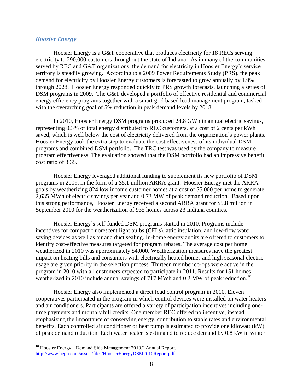## *Hoosier Energy*

Hoosier Energy is a G&T cooperative that produces electricity for 18 RECs serving electricity to 290,000 customers throughout the state of Indiana. As in many of the communities served by REC and G&T organizations, the demand for electricity in Hoosier Energy's service territory is steadily growing. According to a 2009 Power Requirements Study (PRS), the peak demand for electricity by Hoosier Energy customers is forecasted to grow annually by 1.9% through 2028. Hoosier Energy responded quickly to PRS growth forecasts, launching a series of DSM programs in 2009. The G&T developed a portfolio of effective residential and commercial energy efficiency programs together with a smart grid based load management program, tasked with the overarching goal of 5% reduction in peak demand levels by 2018.

In 2010, Hoosier Energy DSM programs produced 24.8 GWh in annual electric savings, representing 0.3% of total energy distributed to REC customers, at a cost of 2 cents per kWh saved, which is well below the cost of electricity delivered from the organization's power plants. Hoosier Energy took the extra step to evaluate the cost effectiveness of its individual DSM programs and combined DSM portfolio. The TRC test was used by the company to measure program effectiveness. The evaluation showed that the DSM portfolio had an impressive benefit cost ratio of 3.35.

Hoosier Energy leveraged additional funding to supplement its new portfolio of DSM programs in 2009, in the form of a \$5.1 million ARRA grant. Hoosier Energy met the ARRA goals by weatherizing 824 low income customer homes at a cost of \$5,000 per home to generate 2,635 MWh of electric savings per year and 0.73 MW of peak demand reduction. Based upon this strong performance, Hoosier Energy received a second ARRA grant for \$5.8 million in September 2010 for the weatherization of 935 homes across 23 Indiana counties.

Hoosier Energy's self-funded DSM programs started in 2010. Programs include incentives for compact fluorescent light bulbs (CFLs), attic insulation, and low-flow water saving devices as well as air and duct sealing. In-home energy audits are offered to customers to identify cost-effective measures targeted for program rebates. The average cost per home weatherized in 2010 was approximately \$4,000. Weatherization measures have the greatest impact on heating bills and consumers with electrically heated homes and high seasonal electric usage are given priority in the selection process. Thirteen member co-ops were active in the program in 2010 with all customers expected to participate in 2011. Results for 151 homes weatherized in 2010 include annual savings of 717 MWh and 0.2 MW of peak reduction.<sup>18</sup>

Hoosier Energy also implemented a direct load control program in 2010. Eleven cooperatives participated in the program in which control devices were installed on water heaters and air conditioners. Participants are offered a variety of participation incentives including onetime payments and monthly bill credits. One member REC offered no incentive, instead emphasizing the importance of conserving energy, contribution to stable rates and environmental benefits. Each controlled air conditioner or heat pump is estimated to provide one kilowatt (kW) of peak demand reduction. Each water heater is estimated to reduce demand by 0.8 kW in winter

<sup>&</sup>lt;sup>18</sup> Hoosier Energy. "Demand Side Management 2010." Annual Report. [http://www.hepn.com/assets/files/HoosierEnergyDSM2010Report.pdf.](http://www.hepn.com/assets/files/HoosierEnergyDSM2010Report.pdf)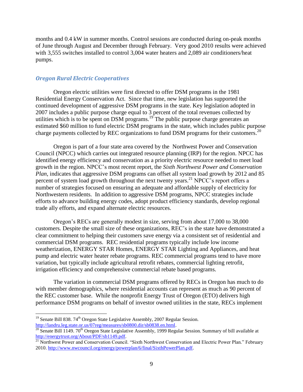months and 0.4 kW in summer months. Control sessions are conducted during on-peak months of June through August and December through February. Very good 2010 results were achieved with 3,555 switches installed to control 3,004 water heaters and 2,089 air conditioners/heat pumps.

#### *Oregon Rural Electric Cooperatives*

Oregon electric utilities were first directed to offer DSM programs in the 1981 Residential Energy Conservation Act. Since that time, new legislation has supported the continued development of aggressive DSM programs in the state. Key legislation adopted in 2007 includes a public purpose charge equal to 3 percent of the total revenues collected by utilities which is to be spent on DSM programs.<sup>19</sup> The public purpose charge generates an estimated \$60 million to fund electric DSM programs in the state, which includes public purpose charge payments collected by REC organizations to fund DSM programs for their customers.<sup>20</sup>

Oregon is part of a four state area covered by the Northwest Power and Conservation Council (NPCC) which carries out integrated resource planning (IRP) for the region. NPCC has identified energy efficiency and conservation as a priority electric resource needed to meet load growth in the region. NPCC's most recent report, the *Sixth Northwest Power and Conservation Plan*, indicates that aggressive DSM programs can offset all system load growth by 2012 and 85 percent of system load growth throughout the next twenty years.<sup>21</sup> NPCC's report offers a number of strategies focused on ensuring an adequate and affordable supply of electricity for Northwestern residents. In addition to aggressive DSM programs, NPCC strategies include efforts to advance building energy codes, adopt product efficiency standards, develop regional trade ally efforts, and expand alternate electric resources.

Oregon's RECs are generally modest in size, serving from about 17,000 to 38,000 customers. Despite the small size of these organizations, REC's in the state have demonstrated a clear commitment to helping their customers save energy via a consistent set of residential and commercial DSM programs. REC residential programs typically include low income weatherization, ENERGY STAR Homes, ENERGY STAR Lighting and Appliances, and heat pump and electric water heater rebate programs. REC commercial programs tend to have more variation, but typically include agricultural retrofit rebates, commercial lighting retrofit, irrigation efficiency and comprehensive commercial rebate based programs.

The variation in commercial DSM programs offered by RECs in Oregon has much to do with member demographics, where residential accounts can represent as much as 90 percent of the REC customer base. While the nonprofit Energy Trust of Oregon (ETO) delivers high performance DSM programs on behalf of investor owned utilities in the state, RECs implement

<sup>&</sup>lt;sup>19</sup> Senate Bill 838. 74<sup>th</sup> Oregon State Legislative Assembly, 2007 Regular Session. [http://landru.leg.state.or.us/07reg/measures/sb0800.dir/sb0838.en.html.](http://landru.leg.state.or.us/07reg/measures/sb0800.dir/sb0838.en.html) 

<sup>&</sup>lt;sup>20</sup> Senate Bill 1149. 70<sup>th</sup> Oregon State Legislative Assembly, 1999 Regular Session. Summary of bill available at [http://energytrust.org/About/PDF/sb1149.pdf.](http://energytrust.org/About/PDF/sb1149.pdf)

<sup>&</sup>lt;sup>21</sup> Northwest Power and Conservation Council. "Sixth Northwest Conservation and Electric Power Plan." February 2010. [http://www.nwcouncil.org/energy/powerplan/6/final/SixthPowerPlan.pdf.](http://www.nwcouncil.org/energy/powerplan/6/final/SixthPowerPlan.pdf)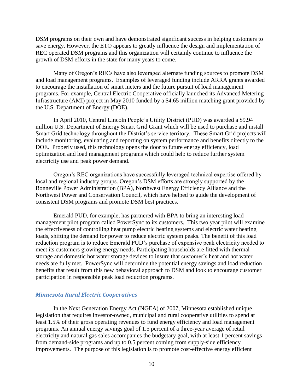DSM programs on their own and have demonstrated significant success in helping customers to save energy. However, the ETO appears to greatly influence the design and implementation of REC operated DSM programs and this organization will certainly continue to influence the growth of DSM efforts in the state for many years to come.

Many of Oregon's RECs have also leveraged alternate funding sources to promote DSM and load management programs. Examples of leveraged funding include ARRA grants awarded to encourage the installation of smart meters and the future pursuit of load management programs. For example, Central Electric Cooperative officially launched its Advanced Metering Infrastructure (AMI) project in May 2010 funded by a \$4.65 million matching grant provided by the U.S. Department of Energy (DOE).

In April 2010, Central Lincoln People's Utility District (PUD) was awarded a \$9.94 million U.S. Department of Energy Smart Grid Grant which will be used to purchase and install Smart Grid technology throughout the District's service territory. These Smart Grid projects will include monitoring, evaluating and reporting on system performance and benefits directly to the DOE. Properly used, this technology opens the door to future energy efficiency, load optimization and load management programs which could help to reduce further system electricity use and peak power demand.

Oregon's REC organizations have successfully leveraged technical expertise offered by local and regional industry groups. Oregon's DSM efforts are strongly supported by the Bonneville Power Administration (BPA), Northwest Energy Efficiency Alliance and the Northwest Power and Conservation Council, which have helped to guide the development of consistent DSM programs and promote DSM best practices.

Emerald PUD, for example, has partnered with BPA to bring an interesting load management pilot program called PowerSync to its customers. This two year pilot will examine the effectiveness of controlling heat pump electric heating systems and electric water heating loads, shifting the demand for power to reduce electric system peaks. The benefit of this load reduction program is to reduce Emerald PUD's purchase of expensive peak electricity needed to meet its customers growing energy needs. Participating households are fitted with thermal storage and domestic hot water storage devices to insure that customer's heat and hot water needs are fully met. PowerSync will determine the potential energy savings and load reduction benefits that result from this new behavioral approach to DSM and look to encourage customer participation in responsible peak load reduction programs.

## *Minnesota Rural Electric Cooperatives*

In the Next Generation Energy Act (NGEA) of 2007, Minnesota established unique legislation that requires investor-owned, municipal and rural cooperative utilities to spend at least 1.5% of their gross operating revenues to fund energy efficiency and load management programs. An annual energy savings goal of 1.5 percent of a three-year average of retail electricity and natural gas sales accompanies the budgetary goal, with at least 1 percent savings from demand-side programs and up to 0.5 percent coming from supply-side efficiency improvements. The purpose of this legislation is to promote cost-effective energy efficient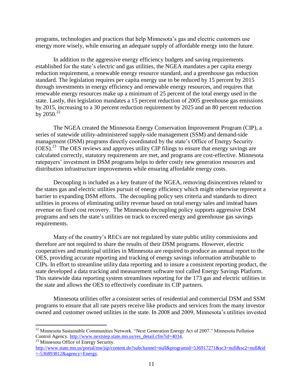programs, technologies and practices that help Minnesota's gas and electric customers use energy more wisely, while ensuring an adequate supply of affordable energy into the future.

In addition to the aggressive energy efficiency budgets and saving requirements established for the state's electric and gas utilities, the NGEA mandates a per capita energy reduction requirement, a renewable energy resource standard, and a greenhouse gas reduction standard. The legislation requires per capita energy use to be reduced by 15 percent by 2015 through investments in energy efficiency and renewable energy resources, and requires that renewable energy resources make up a minimum of 25 percent of the total energy used in the state. Lastly, this legislation mandates a 15 percent reduction of 2005 greenhouse gas emissions by 2015, increasing to a 30 percent reduction requirement by 2025 and an 80 percent reduction by  $2050.<sup>22</sup>$ 

The NGEA created the Minnesota Energy Conservation Improvement Program (CIP), a series of statewide utility-administered supply-side management (SSM) and demand-side management (DSM) programs directly coordinated by the state's Office of Energy Security (OES).<sup>23</sup> The OES reviews and approves utility CIP filings to ensure that energy savings are calculated correctly, statutory requirements are met, and programs are cost-effective. Minnesota ratepayers' investment in DSM programs helps to defer costly new generation resources and distribution infrastructure improvements while ensuring affordable energy costs.

Decoupling is included as a key feature of the NGEA, removing disincentives related to the states gas and electric utilities pursuit of energy efficiency which might otherwise represent a barrier to expanding DSM efforts. The decoupling policy sets criteria and standards to direct utilities in process of eliminating utility revenue based on total energy sales and instead bases revenue on fixed cost recovery. The Minnesota decoupling policy supports aggressive DSM programs and sets the state's utilities on track to exceed energy and greenhouse gas savings requirements.

Many of the country's RECs are not regulated by state public utility commissions and therefore are not required to share the results of their DSM programs. However, electric cooperatives and municipal utilities in Minnesota are required to produce an annual report to the OES, providing accurate reporting and tracking of energy savings information attributable to CIPs. In effort to streamline utility data reporting and to insure a consistent reporting product, the state developed a data tracking and measurement software tool called Energy Savings Platform. This statewide data reporting system streamlines reporting for the 173 gas and electric utilities in the state and allows the OES to effectively coordinate its CIP partners.

Minnesota utilities offer a consistent series of residential and commercial DSM and SSM programs to ensure that all rate payers receive like products and services from the many investor owned and customer owned utilities in the state. In 2008 and 2009, Minnesota's utilities invested

 $22$  Minnesota Sustainable Communities Network. "Next Generation Energy Act of 2007." Minnesota Pollution Control Agency. [http://www.nextstep.state.mn.us/res\\_detail.cfm?id=4034.](http://www.nextstep.state.mn.us/res_detail.cfm?id=4034) <sup>23</sup> Minnesota Office of Energy Security.

[http://www.state.mn.us/portal/mn/jsp/content.do?subchannel=null&programid=536917271&sc3=null&sc2=null&id](http://www.state.mn.us/portal/mn/jsp/content.do?subchannel=null&programid=536917271&sc3=null&sc2=null&id=-536893812&agency=Energy)  $=536893812\&\text{agency}$ =Energy.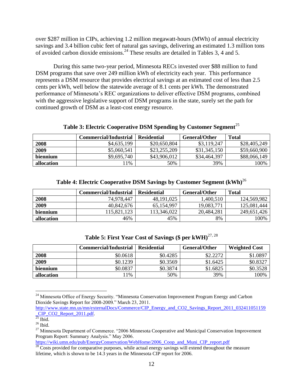over \$287 million in CIPs, achieving 1.2 million megawatt-hours (MWh) of annual electricity savings and 3.4 billion cubic feet of natural gas savings, delivering an estimated 1.3 million tons of avoided carbon dioxide emissions.<sup>24</sup> These results are detailed in Tables 3, 4 and 5.

During this same two-year period, Minnesota RECs invested over \$88 million to fund DSM programs that save over 249 million kWh of electricity each year. This performance represents a DSM resource that provides electrical savings at an estimated cost of less than 2.5 cents per kWh, well below the statewide average of 8.1 cents per kWh. The demonstrated performance of Minnesota's REC organizations to deliver effective DSM programs, combined with the aggressive legislative support of DSM programs in the state, surely set the path for continued growth of DSM as a least-cost energy resource.

## **Table 3: Electric Cooperative DSM Spending by Customer Segment**<sup>25</sup>

|            | <b>Commercial/Industrial</b> | <b>Residential</b> | <b>General/Other</b> | Total        |
|------------|------------------------------|--------------------|----------------------|--------------|
| 2008       | \$4,635,199                  | \$20,650,804       | \$3,119,247          | \$28,405,249 |
| 2009       | \$5,060,541                  | \$23,255,209       | \$31,345,150         | \$59,660,900 |
| biennium   | \$9,695,740                  | \$43,906,012       | \$34,464,397         | \$88,066,149 |
| allocation | 1%                           | 50%                | 39%                  | 100%         |

# **Table 4: Electric Cooperative DSM Savings by Customer Segment (kWh)**<sup>26</sup>

|            | <b>Commercial/Industrial</b> | <b>Residential</b> | <b>General/Other</b> | <b>Total</b> |
|------------|------------------------------|--------------------|----------------------|--------------|
| 2008       | 74.978.447                   | 48, 191, 025       | 1,400,510            | 124,569,982  |
| 2009       | 40,842,676                   | 65,154,997         | 19,083,771           | 125,081,444  |
| biennium   | 15,821,123                   | 113,346,022        | 20,484,281           | 249,651,426  |
| allocation | 46%                          | 45%                | 8%                   | 100%         |

| Table 5: First Year Cost of Savings (\$ per kWH) $^{27,28}$ |  |  |  |  |  |  |  |
|-------------------------------------------------------------|--|--|--|--|--|--|--|
|-------------------------------------------------------------|--|--|--|--|--|--|--|

|            | <b>Commercial/Industrial</b> | <b>Residential</b> | General/Other | <b>Weighted Cost</b> |
|------------|------------------------------|--------------------|---------------|----------------------|
| 2008       | \$0.0618                     | \$0.4285           | \$2.2272      | \$1.0897             |
| 2009       | \$0.1239                     | \$0.3569           | \$1.6425      | \$0.8327             |
| biennium   | \$0.0837                     | \$0.3874           | \$1.6825      | \$0.3528             |
| allocation | 1%                           | 50%                | 39%           | 100%                 |

 $\overline{a}$ <sup>24</sup> Minnesota Office of Energy Security. "Minnesota Conservation Improvement Program Energy and Carbon Dioxide Savings Report for 2008-2009." March 23, 2011.

[https://wiki.umn.edu/pub/EnergyConservation/WebHome/2006\\_Coop\\_and\\_Muni\\_CIP\\_report.pdf](https://wiki.umn.edu/pub/EnergyConservation/WebHome/2006_Coop_and_Muni_CIP_report.pdf)

[http://www.state.mn.us/mn/externalDocs/Commerce/CIP\\_Energy\\_and\\_CO2\\_Savings\\_Report\\_2011\\_032411051159](http://www.state.mn.us/mn/externalDocs/Commerce/CIP_Energy_and_CO2_Savings_Report_2011_032411051159_CIP_CO2_Report_2011.pdf) CIP\_CO2\_Report\_2011.pdf.

 $rac{1}{25}$  Ibid.

 $26$  Ibid.

<sup>&</sup>lt;sup>27</sup> Minnesota Department of Commerce. "2006 Minnesota Cooperative and Municipal Conservation Improvement Program Report: Summary Analysis." May 2006.

<sup>&</sup>lt;sup>28</sup> Costs provided for comparative purposes, while actual energy savings will extend throughout the measure lifetime, which is shown to be 14.3 years in the Minnesota CIP report for 2006.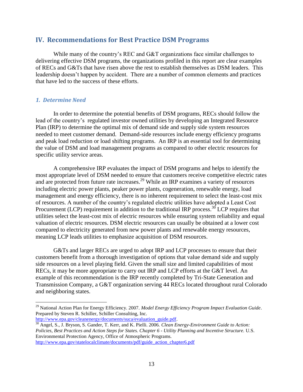# **IV. Recommendations for Best Practice DSM Programs**

While many of the country's REC and G&T organizations face similar challenges to delivering effective DSM programs, the organizations profiled in this report are clear examples of RECs and G&Ts that have risen above the rest to establish themselves as DSM leaders. This leadership doesn't happen by accident. There are a number of common elements and practices that have led to the success of these efforts.

#### *1. Determine Need*

 $\overline{a}$ 

In order to determine the potential benefits of DSM programs, RECs should follow the lead of the country's regulated investor owned utilities by developing an Integrated Resource Plan (IRP) to determine the optimal mix of demand side and supply side system resources needed to meet customer demand. Demand-side resources include energy efficiency programs and peak load reduction or load shifting programs. An IRP is an essential tool for determining the value of DSM and load management programs as compared to other electric resources for specific utility service areas.

A comprehensive IRP evaluates the impact of DSM programs and helps to identify the most appropriate level of DSM needed to ensure that customers receive competitive electric rates and are protected from future rate increases.<sup>29</sup> While an IRP examines a variety of resources including electric power plants, peaker power plants, cogeneration, renewable energy, load management and energy efficiency, there is no inherent requirement to select the least-cost mix of resources. A number of the country's regulated electric utilities have adopted a Least Cost Procurement (LCP) requirement in addition to the traditional IRP process.<sup>30</sup> LCP requires that utilities select the least-cost mix of electric resources while ensuring system reliability and equal valuation of electric resources. DSM electric resources can usually be obtained at a lower cost compared to electricity generated from new power plants and renewable energy resources, meaning LCP leads utilities to emphasize acquisition of DSM resources.

G&Ts and larger RECs are urged to adopt IRP and LCP processes to ensure that their customers benefit from a thorough investigation of options that value demand side and supply side resources on a level playing field. Given the small size and limited capabilities of most RECs, it may be more appropriate to carry out IRP and LCP efforts at the G&T level. An example of this recommendation is the IRP recently completed by Tri-State Generation and Transmission Company, a G&T organization serving 44 RECs located throughout rural Colorado and neighboring states.

<sup>30</sup> Angel, S., J. Bryson, S. Gander, T. Kerr, and K. Pielli. 2006. *Clean Energy-Environment Guide to Action: Policies, Best Practices and Action Steps for States. Chapter 6 - Utility Planning and Incentive Structure.* U.S. Environmental Protection Agency, Office of Atmospheric Programs.

<sup>29</sup> National Action Plan for Energy Efficiency. 2007. *Model Energy Efficiency Program Impact Evaluation Guide*. Prepared by Steven R. Schiller, Schiller Consulting, Inc. [http://www.epa.gov/cleanenergy/documents/suca/evaluation\\_guide.pdf.](http://www.epa.gov/cleanenergy/documents/suca/evaluation_guide.pdf)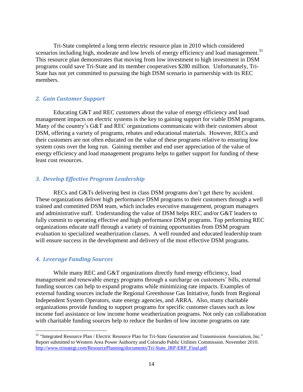Tri-State completed a long term electric resource plan in 2010 which considered scenarios including high, moderate and low levels of energy efficiency and load management.<sup>31</sup> This resource plan demonstrates that moving from low investment to high investment in DSM programs could save Tri-State and its member cooperatives \$280 million. Unfortunately, Tri-State has not yet committed to pursuing the high DSM scenario in partnership with its REC members.

## *2. Gain Customer Support*

Educating G&T and REC customers about the value of energy efficiency and load management impacts on electric systems is the key to gaining support for viable DSM programs. Many of the country's G&T and REC organizations communicate with their customers about DSM, offering a variety of programs, rebates and educational materials. However, RECs and their customers are not often educated on the value of these programs relative to ensuring low system costs over the long run. Gaining member and end user appreciation of the value of energy efficiency and load management programs helps to gather support for funding of these least cost resources.

## *3. Develop Effective Program Leadership*

RECs and G&Ts delivering best in class DSM programs don't get there by accident. These organizations deliver high performance DSM programs to their customers through a well trained and committed DSM team, which includes executive management, program managers and administrative staff. Understanding the value of DSM helps REC and/or G&T leaders to fully commit to operating effective and high performance DSM programs. Top performing REC organizations educate staff through a variety of training opportunities from DSM program evaluation to specialized weatherization classes. A well rounded and educated leadership team will ensure success in the development and delivery of the most effective DSM programs.

## *4. Leverage Funding Sources*

 $\overline{a}$ 

While many REC and G&T organizations directly fund energy efficiency, load management and renewable energy programs through a surcharge on customers' bills, external funding sources can help to expand programs while minimizing rate impacts. Examples of external funding sources include the Regional Greenhouse Gas Initiative, funds from Regional Independent System Operators, state energy agencies, and ARRA. Also, many charitable organizations provide funding to support programs for specific customer classes such as low income fuel assistance or low income home weatherization programs. Not only can collaboration with charitable funding sources help to reduce the burden of low income programs on rate

<sup>&</sup>lt;sup>31</sup> "Integrated Resource Plan / Electric Resource Plan for Tri-State Generation and Transmission Association, Inc." Report submitted to Western Area Power Authority and Colorado Public Utilities Commission. November 2010. [http://www.tristategt.com/ResourcePlanning/documents/Tri-State\\_IRP-ERP\\_Final.pdf](http://www.tristategt.com/ResourcePlanning/documents/Tri-State_IRP-ERP_Final.pdf)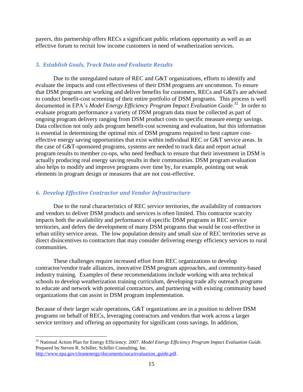payers, this partnership offers RECs a significant public relations opportunity as well as an effective forum to recruit low income customers in need of weatherization services.

# *5. Establish Goals, Track Data and Evaluate Results*

Due to the unregulated nature of REC and G&T organizations, efforts to identify and evaluate the impacts and cost effectiveness of their DSM programs are uncommon. To ensure that DSM programs are working and deliver benefits for customers, RECs and G&Ts are advised to conduct benefit-cost screening of their entire portfolio of DSM programs. This process is well documented in EPA's *Model Energy Efficiency Program Impact Evaluation Guide*.<sup>32</sup> In order to evaluate program performance a variety of DSM program data must be collected as part of ongoing program delivery ranging from DSM product costs to specific measure energy savings. Data collection not only aids program benefit-cost screening and evaluation, but this information is essential in determining the optimal mix of DSM programs required to best capture costeffective energy saving opportunities that exist within individual REC or G&T service areas. In the case of G&T-sponsored programs, systems are needed to track data and report actual program results to member co-ops, who need feedback to ensure that their investment in DSM is actually producing real energy saving results in their communities. DSM program evaluation also helps to modify and improve programs over time by, for example, pointing out weak elements in program design or measures that are not cost-effective.

# *6. Develop Effective Contractor and Vendor Infrastructure*

 $\overline{a}$ 

Due to the rural characteristics of REC service territories, the availability of contractors and vendors to deliver DSM products and services is often limited. This contractor scarcity impacts both the availability and performance of specific DSM programs in REC service territories, and defers the development of many DSM programs that would be cost-effective in urban utility service areas. The low population density and small size of REC territories serve as direct disincentives to contractors that may consider delivering energy efficiency services to rural communities.

These challenges require increased effort from REC organizations to develop contractor/vendor trade alliances, innovative DSM program approaches, and community-based industry training. Examples of these recommendations include working with area technical schools to develop weatherization training curriculum, developing trade ally outreach programs to educate and network with potential contractors, and partnering with existing community based organizations that can assist in DSM program implementation.

Because of their larger scale operations, G&T organizations are in a position to deliver DSM programs on behalf of RECs, leveraging contractors and vendors that work across a larger service territory and offering an opportunity for significant costs savings. In addition,

<sup>32</sup> National Action Plan for Energy Efficiency. 2007. *Model Energy Efficiency Program Impact Evaluation Guide*. Prepared by Steven R. Schiller, Schiller Consulting, Inc. [http://www.epa.gov/cleanenergy/documents/suca/evaluation\\_guide.pdf.](http://www.epa.gov/cleanenergy/documents/suca/evaluation_guide.pdf)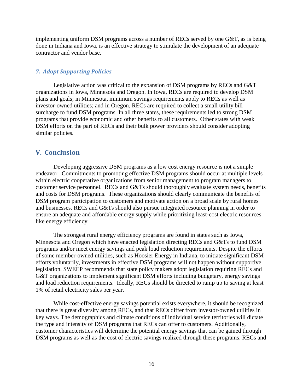implementing uniform DSM programs across a number of RECs served by one G&T, as is being done in Indiana and Iowa, is an effective strategy to stimulate the development of an adequate contractor and vendor base.

## *7. Adopt Supporting Policies*

Legislative action was critical to the expansion of DSM programs by RECs and G&T organizations in Iowa, Minnesota and Oregon. In Iowa, RECs are required to develop DSM plans and goals; in Minnesota, minimum savings requirements apply to RECs as well as investor-owned utilities; and in Oregon, RECs are required to collect a small utility bill surcharge to fund DSM programs. In all three states, these requirements led to strong DSM programs that provide economic and other benefits to all customers. Other states with weak DSM efforts on the part of RECs and their bulk power providers should consider adopting similar policies.

## **V. Conclusion**

Developing aggressive DSM programs as a low cost energy resource is not a simple endeavor. Commitments to promoting effective DSM programs should occur at multiple levels within electric cooperative organizations from senior management to program managers to customer service personnel. RECs and G&Ts should thoroughly evaluate system needs, benefits and costs for DSM programs. These organizations should clearly communicate the benefits of DSM program participation to customers and motivate action on a broad scale by rural homes and businesses. RECs and G&Ts should also pursue integrated resource planning in order to ensure an adequate and affordable energy supply while prioritizing least-cost electric resources like energy efficiency.

The strongest rural energy efficiency programs are found in states such as Iowa, Minnesota and Oregon which have enacted legislation directing RECs and G&Ts to fund DSM programs and/or meet energy savings and peak load reduction requirements. Despite the efforts of some member-owned utilities, such as Hoosier Energy in Indiana, to initiate significant DSM efforts voluntarily, investments in effective DSM programs will not happen without supportive legislation. SWEEP recommends that state policy makers adopt legislation requiring RECs and G&T organizations to implement significant DSM efforts including budgetary, energy savings and load reduction requirements. Ideally, RECs should be directed to ramp up to saving at least 1% of retail electricity sales per year.

While cost-effective energy savings potential exists everywhere, it should be recognized that there is great diversity among RECs, and that RECs differ from investor-owned utilities in key ways. The demographics and climate conditions of individual service territories will dictate the type and intensity of DSM programs that RECs can offer to customers. Additionally, customer characteristics will determine the potential energy savings that can be gained through DSM programs as well as the cost of electric savings realized through these programs. RECs and